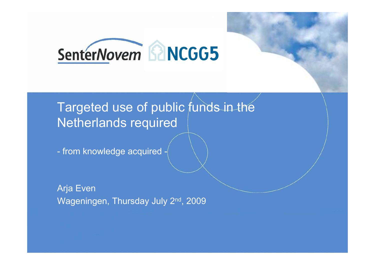

# Targeted use of public funds in the Netherlands required

from knowledge acquired -

Arja Even Wageningen, Thursday July 2<sup>nd</sup>, 2009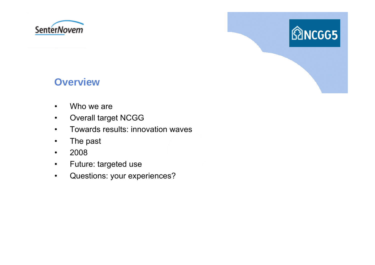



#### **Overview**

- •Who we are
- $\bullet$ Overall target NCGG
- $\bullet$ Towards results: innovation waves
- •The past
- $\bullet$ 2008
- $\bullet$ Future: targeted use
- •Questions: your experiences?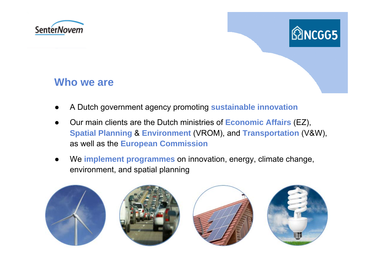



#### **Who we are**

- ●A Dutch government agency promoting **sustainable innovation**
- ● Our main clients are the Dutch ministries of **Economic Affairs** (EZ), **Spatial Planning** & **Environment** (VROM), and **Transportation** (V&W), as well as the **European Commission**
- ● We **implement programmes** on innovation, energy, climate change, environment, and spatial planning

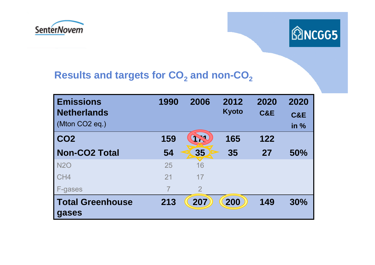



### **Results and targets for CO 2 and non-CO 2**

| <b>Emissions</b><br><b>Netherlands</b><br>(Mton CO <sub>2</sub> eq.) | 1990 | 2006           | 2012<br><b>Kyoto</b> | 2020<br>C&E | 2020<br><b>C&amp;E</b><br>in $%$ |
|----------------------------------------------------------------------|------|----------------|----------------------|-------------|----------------------------------|
| CO <sub>2</sub>                                                      | 159  | 174            | 165                  | 122         |                                  |
| <b>Non-CO2 Total</b>                                                 | 54   | 35             | 35                   | 27          | 50%                              |
| <b>N2O</b>                                                           | 25   | 16             |                      |             |                                  |
| CH4                                                                  | 21   | 17             |                      |             |                                  |
| F-gases                                                              |      | $\overline{2}$ |                      |             |                                  |
| <b>Total Greenhouse</b><br>gases                                     | 213  | 207            | 200                  | 149         | 30%                              |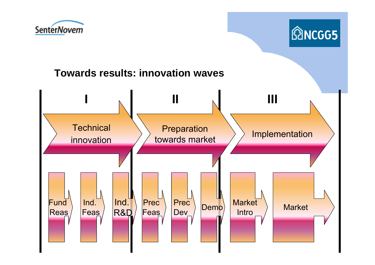



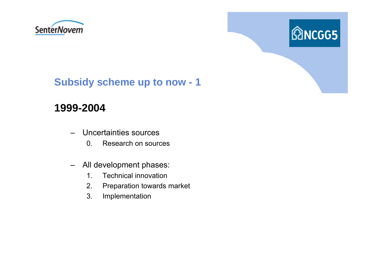



# **Subsidy scheme up to now - 1**

# **1999-2004**

- – Uncertainties sources
	- 0. Research on sources
- – All development phases:
	- 1. Technical innovation
	- 2. Preparation towards market
	- 3. Implementation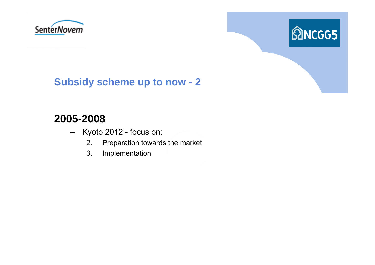



# **Subsidy scheme up to now - 2**

#### **2005-2008**

- – Kyoto 2012 - focus on:
	- 2. Preparation towards the market
	- 3. Implementation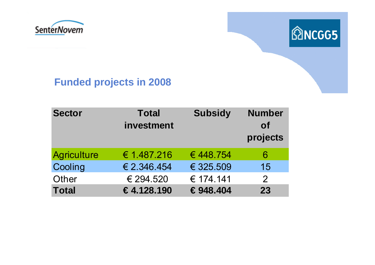



## **Funded projects in 2008**

| <b>Sector</b>      | <b>Total</b><br>investment | <b>Subsidy</b> | <b>Number</b><br><b>of</b><br>projects |
|--------------------|----------------------------|----------------|----------------------------------------|
| <b>Agriculture</b> | € 1.487.216                | €448.754       | 6                                      |
| Cooling            | € 2.346.454                | € 325.509      | 15                                     |
| Other              | € 294.520                  | € 174.141      | $\overline{2}$                         |
| <b>Total</b>       | €4,128,190                 | €948,404       | 23                                     |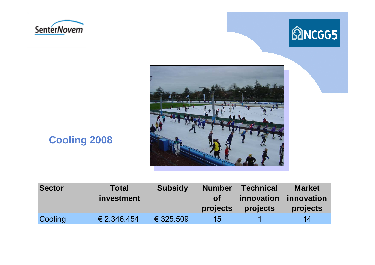





# **Cooling 2008**

| <b>Sector</b> | <b>Total</b> | <b>Subsidy</b> | <b>Number</b>   | <b>Technical</b>  | <b>Market</b> |
|---------------|--------------|----------------|-----------------|-------------------|---------------|
|               | investment   |                | <b>of</b>       | <b>innovation</b> | innovation    |
|               |              |                | projects        | <b>projects</b>   | projects      |
| Cooling       | € 2.346.454  | € 325.509      | 15 <sub>l</sub> |                   | 14            |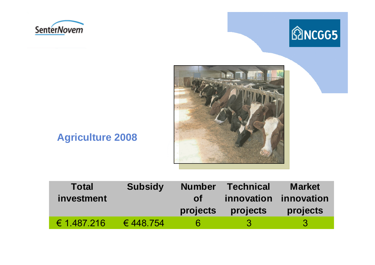





# **Agriculture 2008**

| <b>Total</b>         | <b>Subsidy</b> | <b>Number</b> | <b>Technical</b> | <b>Market</b> |
|----------------------|----------------|---------------|------------------|---------------|
| <i>investment</i>    |                | <b>of</b>     | innovation       | innovation    |
|                      |                | projects      | projects         | projects      |
| $\epsilon$ 1.487.216 | € 448.754      |               | -3               | -3            |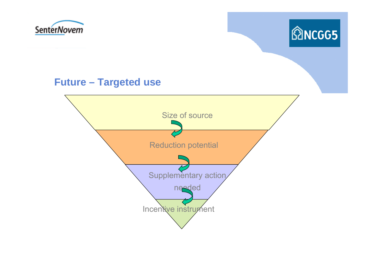



#### **Future – Targeted use**

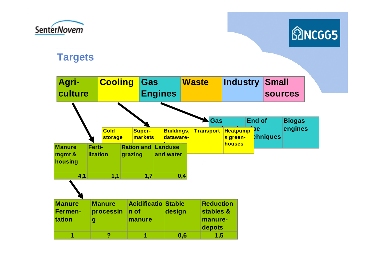



#### **Targets**

| Agri-<br>culture                   |                           | <b>Cooling</b>             |         | Gas           | <b>Engines</b>                                      |     | <b>Waste</b>     |                                                    | Industry           |                     | <b>Small</b><br><b>sources</b> |                          |  |
|------------------------------------|---------------------------|----------------------------|---------|---------------|-----------------------------------------------------|-----|------------------|----------------------------------------------------|--------------------|---------------------|--------------------------------|--------------------------|--|
|                                    |                           | <b>Cold</b>                |         | <b>Super-</b> | <b>Buildings,</b>                                   |     | <b>Transport</b> | Gas                                                | <b>Heatpump</b>    | <b>End of</b><br>pe |                                | <b>Biogas</b><br>engines |  |
| <b>Manure</b><br>mgmt &<br>housing | Ferti-<br><b>lization</b> | storage                    | grazing | markets       | dataware-<br><b>Ration and Landuse</b><br>and water |     |                  |                                                    | s green-<br>houses |                     | <b>chniques</b>                |                          |  |
| 4,1                                |                           | 1,1                        |         | 1,7           |                                                     | 0,4 |                  |                                                    |                    |                     |                                |                          |  |
| <b>Manure</b><br>Fermen-<br>tation | g                         | <b>Manure</b><br>processin | n of    | manure        | <b>Acidificatio Stable</b><br>design                |     |                  | <b>Reduction</b><br>stables &<br>manure-<br>depots |                    |                     |                                |                          |  |
| 1                                  |                           | ?                          |         | 1             |                                                     | 0,6 |                  | 1,5                                                |                    |                     |                                |                          |  |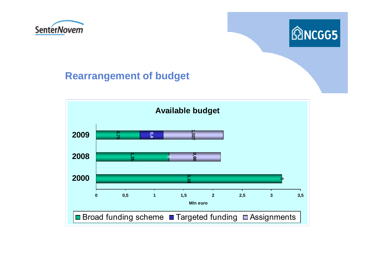



#### **Rearrangement of budget**